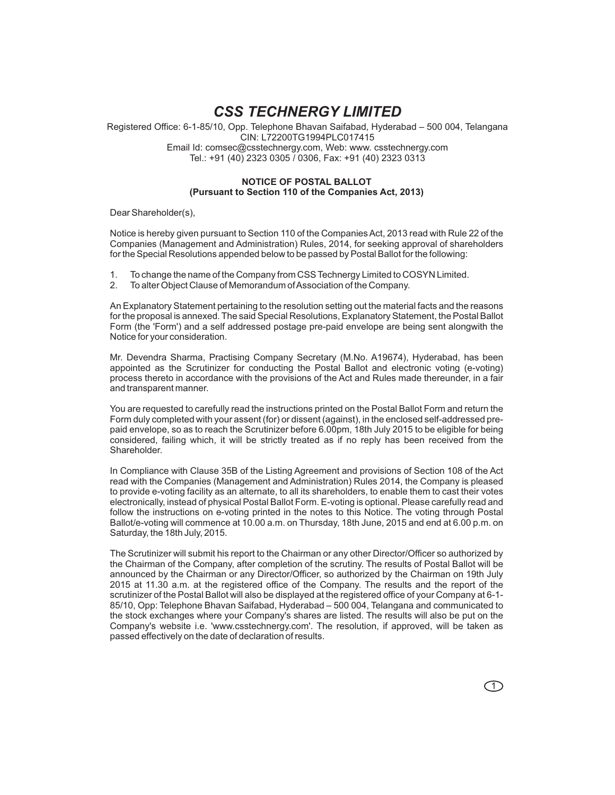# *CSS TECHNERGY LIMITED*

Registered Office: 6-1-85/10, Opp. Telephone Bhavan Saifabad, Hyderabad – 500 004, Telangana CIN: L72200TG1994PLC017415 Email Id: comsec@csstechnergy.com, Web: www. csstechnergy.com Tel.: +91 (40) 2323 0305 / 0306, Fax: +91 (40) 2323 0313

# **NOTICE OF POSTAL BALLOT (Pursuant to Section 110 of the Companies Act, 2013)**

Dear Shareholder(s),

Notice is hereby given pursuant to Section 110 of the Companies Act, 2013 read with Rule 22 of the Companies (Management and Administration) Rules, 2014, for seeking approval of shareholders for the Special Resolutions appended below to be passed by Postal Ballot for the following:

- 1. To change the name of the Company from CSS Technergy Limited to COSYN Limited.
- 2. To alter Object Clause of Memorandum of Association of the Company.

An Explanatory Statement pertaining to the resolution setting out the material facts and the reasons for the proposal is annexed. The said Special Resolutions, Explanatory Statement, the Postal Ballot Form (the 'Form') and a self addressed postage pre-paid envelope are being sent alongwith the Notice for your consideration.

Mr. Devendra Sharma, Practising Company Secretary (M.No. A19674), Hyderabad, has been appointed as the Scrutinizer for conducting the Postal Ballot and electronic voting (e-voting) process thereto in accordance with the provisions of the Act and Rules made thereunder, in a fair and transparent manner.

You are requested to carefully read the instructions printed on the Postal Ballot Form and return the Form duly completed with your assent (for) or dissent (against), in the enclosed self-addressed prepaid envelope, so as to reach the Scrutinizer before 6.00pm, 18th July 2015 to be eligible for being considered, failing which, it will be strictly treated as if no reply has been received from the Shareholder.

In Compliance with Clause 35B of the Listing Agreement and provisions of Section 108 of the Act read with the Companies (Management and Administration) Rules 2014, the Company is pleased to provide e-voting facility as an alternate, to all its shareholders, to enable them to cast their votes electronically, instead of physical Postal Ballot Form. E-voting is optional. Please carefully read and follow the instructions on e-voting printed in the notes to this Notice. The voting through Postal Ballot/e-voting will commence at 10.00 a.m. on Thursday, 18th June, 2015 and end at 6.00 p.m. on Saturday, the 18th July, 2015.

The Scrutinizer will submit his report to the Chairman or any other Director/Officer so authorized by the Chairman of the Company, after completion of the scrutiny. The results of Postal Ballot will be announced by the Chairman or any Director/Officer, so authorized by the Chairman on 19th July 2015 at 11.30 a.m. at the registered office of the Company. The results and the report of the scrutinizer of the Postal Ballot will also be displayed at the registered office of your Company at 6-1- 85/10, Opp: Telephone Bhavan Saifabad, Hyderabad – 500 004, Telangana and communicated to the stock exchanges where your Company's shares are listed. The results will also be put on the Company's website i.e. 'www.csstechnergy.com'. The resolution, if approved, will be taken as passed effectively on the date of declaration of results.

 $\bigcap$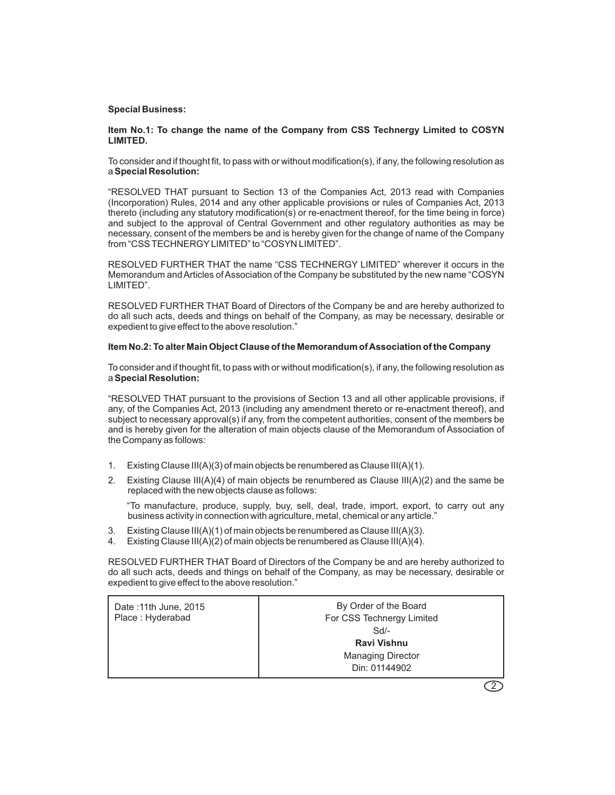## **Special Business:**

## **Item No.1: To change the name of the Company from CSS Technergy Limited to COSYN LIMITED.**

To consider and if thought fit, to pass with or without modification(s), if any, the following resolution as a **Special Resolution:**

"RESOLVED THAT pursuant to Section 13 of the Companies Act, 2013 read with Companies (Incorporation) Rules, 2014 and any other applicable provisions or rules of Companies Act, 2013 thereto (including any statutory modification(s) or re-enactment thereof, for the time being in force) and subject to the approval of Central Government and other regulatory authorities as may be necessary, consent of the members be and is hereby given for the change of name of the Company from "CSS TECHNERGY LIMITED" to "COSYN LIMITED".

RESOLVED FURTHER THAT the name "CSS TECHNERGY LIMITED" wherever it occurs in the Memorandum and Articles of Association of the Company be substituted by the new name "COSYN LIMITED".

RESOLVED FURTHER THAT Board of Directors of the Company be and are hereby authorized to do all such acts, deeds and things on behalf of the Company, as may be necessary, desirable or expedient to give effect to the above resolution."

## **Item No.2: To alter Main Object Clause of the Memorandum of Association of the Company**

To consider and if thought fit, to pass with or without modification(s), if any, the following resolution as a **Special Resolution:**

"RESOLVED THAT pursuant to the provisions of Section 13 and all other applicable provisions, if any, of the Companies Act, 2013 (including any amendment thereto or re-enactment thereof), and subject to necessary approval(s) if any, from the competent authorities, consent of the members be and is hereby given for the alteration of main objects clause of the Memorandum of Association of the Company as follows:

- 1. Existing Clause III(A)(3) of main objects be renumbered as Clause III(A)(1).
- 2. Existing Clause III(A)(4) of main objects be renumbered as Clause III(A)(2) and the same be replaced with the new objects clause as follows:

"To manufacture, produce, supply, buy, sell, deal, trade, import, export, to carry out any business activity in connection with agriculture, metal, chemical or any article."

- 3. Existing Clause III(A)(1) of main objects be renumbered as Clause III(A)(3).
- 4. Existing Clause III(A)(2) of main objects be renumbered as Clause III(A)(4).

RESOLVED FURTHER THAT Board of Directors of the Company be and are hereby authorized to do all such acts, deeds and things on behalf of the Company, as may be necessary, desirable or expedient to give effect to the above resolution."

| By Order of the Board<br>For CSS Technergy Limited<br>$Sd$ -<br><b>Ravi Vishnu</b><br><b>Managing Director</b><br>Din: 01144902 |
|---------------------------------------------------------------------------------------------------------------------------------|
|                                                                                                                                 |
|                                                                                                                                 |

2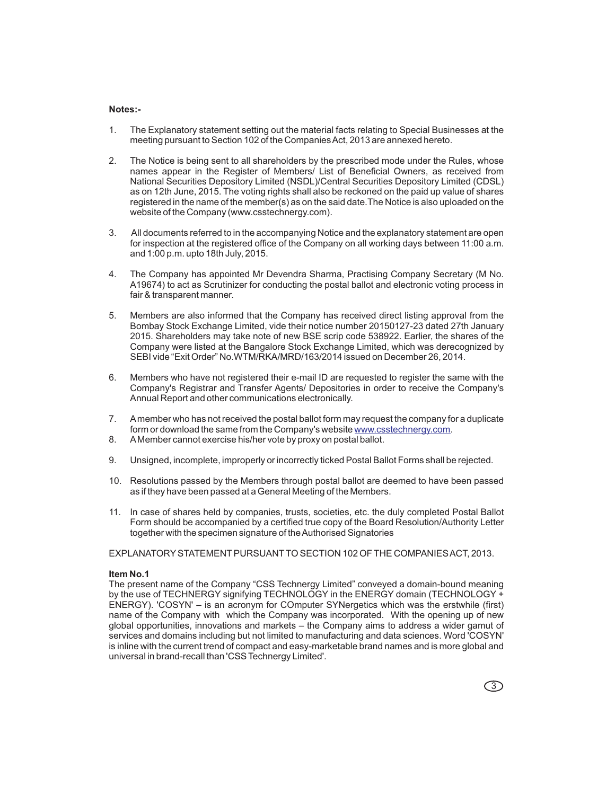#### **Notes:-**

- 1. The Explanatory statement setting out the material facts relating to Special Businesses at the meeting pursuant to Section 102 of the Companies Act, 2013 are annexed hereto.
- 2. The Notice is being sent to all shareholders by the prescribed mode under the Rules, whose names appear in the Register of Members/ List of Beneficial Owners, as received from National Securities Depository Limited (NSDL)/Central Securities Depository Limited (CDSL) as on 12th June, 2015. The voting rights shall also be reckoned on the paid up value of shares registered in the name of the member(s) as on the said date.The Notice is also uploaded on the website of the Company (www.csstechnergy.com).
- 3. All documents referred to in the accompanying Notice and the explanatory statement are open for inspection at the registered office of the Company on all working days between 11:00 a.m. and 1:00 p.m. upto 18th July, 2015.
- 4. The Company has appointed Mr Devendra Sharma, Practising Company Secretary (M No. A19674) to act as Scrutinizer for conducting the postal ballot and electronic voting process in fair & transparent manner.
- 5. Members are also informed that the Company has received direct listing approval from the Bombay Stock Exchange Limited, vide their notice number 20150127-23 dated 27th January 2015. Shareholders may take note of new BSE scrip code 538922. Earlier, the shares of the Company were listed at the Bangalore Stock Exchange Limited, which was derecognized by SEBI vide "Exit Order" No.WTM/RKA/MRD/163/2014 issued on December 26, 2014.
- 6. Members who have not registered their e-mail ID are requested to register the same with the Company's Registrar and Transfer Agents/ Depositories in order to receive the Company's Annual Report and other communications electronically.
- 7. A member who has not received the postal ballot form may request the company for a duplicate form or download the same from the Company's website <u>www.csstechnergy.com</u>.
- 8. A Member cannot exercise his/her vote by proxy on postal ballot.
- 9. Unsigned, incomplete, improperly or incorrectly ticked Postal Ballot Forms shall be rejected.
- 10. Resolutions passed by the Members through postal ballot are deemed to have been passed as if they have been passed at a General Meeting of the Members.
- 11. In case of shares held by companies, trusts, societies, etc. the duly completed Postal Ballot Form should be accompanied by a certified true copy of the Board Resolution/Authority Letter together with the specimen signature of the Authorised Signatories

EXPLANATORY STATEMENT PURSUANT TO SECTION 102 OF THE COMPANIES ACT, 2013.

#### **Item No.1**

The present name of the Company "CSS Technergy Limited" conveyed a domain-bound meaning by the use of TECHNERGY signifying TECHNOLOGY in the ENERGY domain (TECHNOLOGY + ENERGY). 'COSYN' – is an acronym for COmputer SYNergetics which was the erstwhile (first) name of the Company with which the Company was incorporated. With the opening up of new global opportunities, innovations and markets – the Company aims to address a wider gamut of services and domains including but not limited to manufacturing and data sciences. Word 'COSYN' is inline with the current trend of compact and easy-marketable brand names and is more global and universal in brand-recall than 'CSS Technergy Limited'.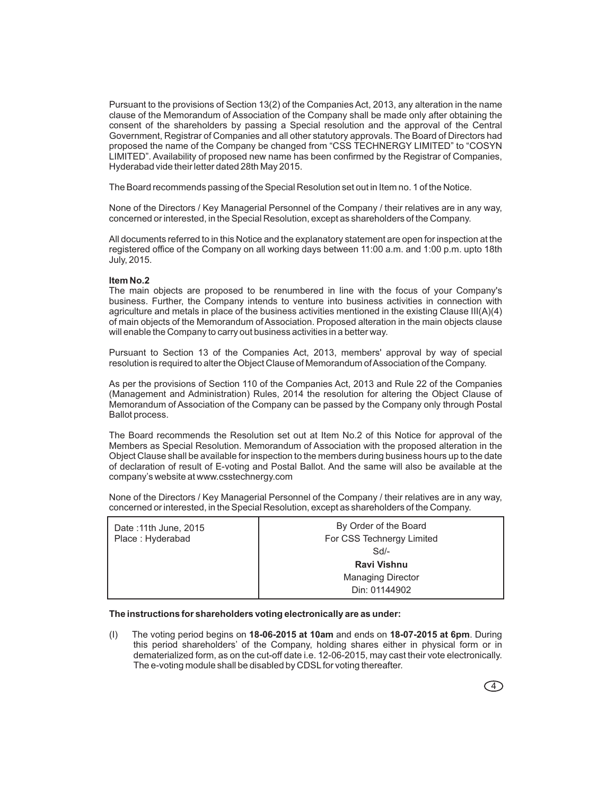Pursuant to the provisions of Section 13(2) of the Companies Act, 2013, any alteration in the name clause of the Memorandum of Association of the Company shall be made only after obtaining the consent of the shareholders by passing a Special resolution and the approval of the Central Government, Registrar of Companies and all other statutory approvals. The Board of Directors had proposed the name of the Company be changed from "CSS TECHNERGY LIMITED" to "COSYN LIMITED". Availability of proposed new name has been confirmed by the Registrar of Companies, Hyderabad vide their letter dated 28th May 2015.

The Board recommends passing of the Special Resolution set out in Item no. 1 of the Notice.

None of the Directors / Key Managerial Personnel of the Company / their relatives are in any way, concerned or interested, in the Special Resolution, except as shareholders of the Company.

All documents referred to in this Notice and the explanatory statement are open for inspection at the registered office of the Company on all working days between 11:00 a.m. and 1:00 p.m. upto 18th July, 2015.

#### **Item No.2**

The main objects are proposed to be renumbered in line with the focus of your Company's business. Further, the Company intends to venture into business activities in connection with agriculture and metals in place of the business activities mentioned in the existing Clause III(A)(4) of main objects of the Memorandum of Association. Proposed alteration in the main objects clause will enable the Company to carry out business activities in a better way.

Pursuant to Section 13 of the Companies Act, 2013, members' approval by way of special resolution is required to alter the Object Clause of Memorandum of Association of the Company.

As per the provisions of Section 110 of the Companies Act, 2013 and Rule 22 of the Companies (Management and Administration) Rules, 2014 the resolution for altering the Object Clause of Memorandum of Association of the Company can be passed by the Company only through Postal Ballot process.

The Board recommends the Resolution set out at Item No.2 of this Notice for approval of the Members as Special Resolution. Memorandum of Association with the proposed alteration in the Object Clause shall be available for inspection to the members during business hours up to the date of declaration of result of E-voting and Postal Ballot. And the same will also be available at the company's website at www.csstechnergy.com

None of the Directors / Key Managerial Personnel of the Company / their relatives are in any way, concerned or interested, in the Special Resolution, except as shareholders of the Company.

| Date: 11th June, 2015<br>Place: Hyderabad | By Order of the Board<br>For CSS Technergy Limited |
|-------------------------------------------|----------------------------------------------------|
|                                           | $Sd$ -                                             |
|                                           | Ravi Vishnu                                        |
|                                           | <b>Managing Director</b>                           |
|                                           | Din: 01144902                                      |

**The instructions for shareholders voting electronically are as under:**

(I) The voting period begins on **18-06-2015 at 10am** and ends on **18-07-2015 at 6pm**. During this period shareholders' of the Company, holding shares either in physical form or in dematerialized form, as on the cut-off date i.e. 12-06-2015, may cast their vote electronically. The e-voting module shall be disabled by CDSL for voting thereafter.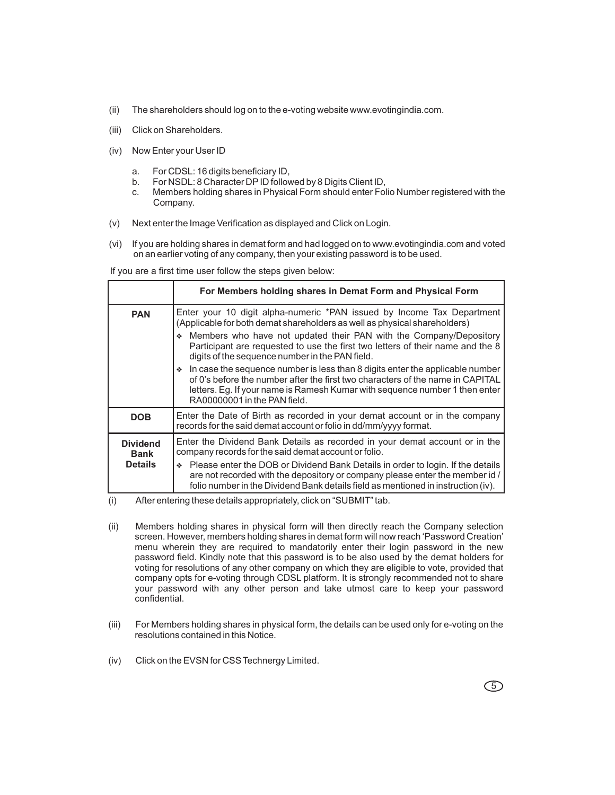- (ii) The shareholders should log on to the e-voting website www.evotingindia.com.
- (iii) Click on Shareholders.
- (iv) Now Enter your User ID
	- a. For CDSL: 16 digits beneficiary ID,
	- b. For NSDL: 8 Character DP ID followed by 8 Digits Client ID,
	- c. Members holding shares in Physical Form should enter Folio Number registered with the Company.
- (v) Next enter the Image Verification as displayed and Click on Login.
- (vi) If you are holding shares in demat form and had logged on to www.evotingindia.com and voted on an earlier voting of any company, then your existing password is to be used.

If you are a first time user follow the steps given below:

|                                | For Members holding shares in Demat Form and Physical Form                                                                                                                                                                                                                               |  |  |
|--------------------------------|------------------------------------------------------------------------------------------------------------------------------------------------------------------------------------------------------------------------------------------------------------------------------------------|--|--|
| <b>PAN</b>                     | Enter your 10 digit alpha-numeric *PAN issued by Income Tax Department<br>(Applicable for both demat shareholders as well as physical shareholders)                                                                                                                                      |  |  |
|                                | ♦ Members who have not updated their PAN with the Company/Depository<br>Participant are requested to use the first two letters of their name and the 8<br>digits of the sequence number in the PAN field.                                                                                |  |  |
|                                | $\bullet$ In case the sequence number is less than 8 digits enter the applicable number<br>of 0's before the number after the first two characters of the name in CAPITAL<br>letters. Eq. If your name is Ramesh Kumar with sequence number 1 then enter<br>RA00000001 in the PAN field. |  |  |
| <b>DOB</b>                     | Enter the Date of Birth as recorded in your demat account or in the company<br>records for the said demat account or folio in dd/mm/yyyy format.                                                                                                                                         |  |  |
| <b>Dividend</b><br><b>Bank</b> | Enter the Dividend Bank Details as recorded in your demat account or in the<br>company records for the said demat account or folio.                                                                                                                                                      |  |  |
| <b>Details</b>                 | ♦ Please enter the DOB or Dividend Bank Details in order to login. If the details<br>are not recorded with the depository or company please enter the member id /<br>folio number in the Dividend Bank details field as mentioned in instruction (iv).                                   |  |  |

(i) After entering these details appropriately, click on "SUBMIT" tab.

- (ii) Members holding shares in physical form will then directly reach the Company selection screen. However, members holding shares in demat form will now reach 'Password Creation' menu wherein they are required to mandatorily enter their login password in the new password field. Kindly note that this password is to be also used by the demat holders for voting for resolutions of any other company on which they are eligible to vote, provided that company opts for e-voting through CDSL platform. It is strongly recommended not to share your password with any other person and take utmost care to keep your password confidential.
- (iii) For Members holding shares in physical form, the details can be used only for e-voting on the resolutions contained in this Notice.
- (iv) Click on the EVSN for CSS Technergy Limited.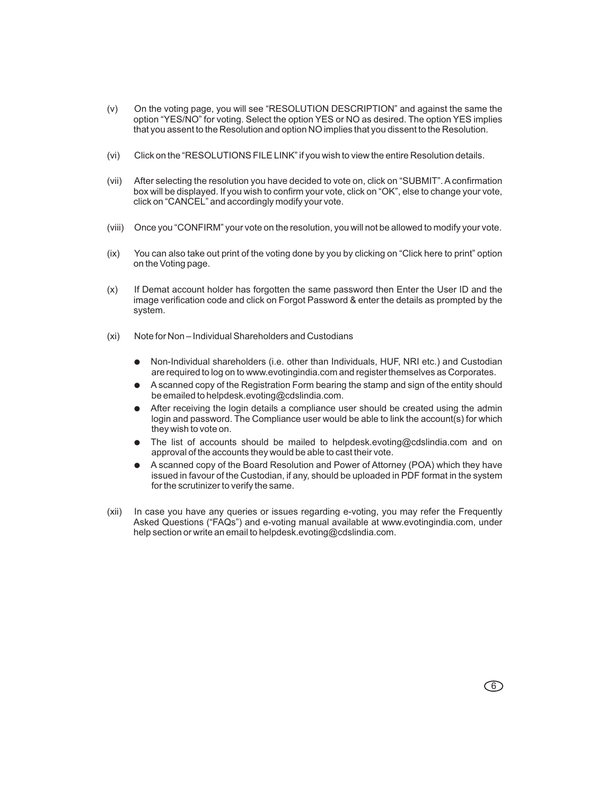- (v) On the voting page, you will see "RESOLUTION DESCRIPTION" and against the same the option "YES/NO" for voting. Select the option YES or NO as desired. The option YES implies that you assent to the Resolution and option NO implies that you dissent to the Resolution.
- (vi) Click on the "RESOLUTIONS FILE LINK" if you wish to view the entire Resolution details.
- (vii) After selecting the resolution you have decided to vote on, click on "SUBMIT". A confirmation box will be displayed. If you wish to confirm your vote, click on "OK", else to change your vote, click on "CANCEL" and accordingly modify your vote.
- (viii) Once you "CONFIRM" your vote on the resolution, you will not be allowed to modify your vote.
- (ix) You can also take out print of the voting done by you by clicking on "Click here to print" option on the Voting page.
- (x) If Demat account holder has forgotten the same password then Enter the User ID and the image verification code and click on Forgot Password & enter the details as prompted by the system.
- (xi) Note for Non Individual Shareholders and Custodians
	- Non-Individual shareholders (i.e. other than Individuals, HUF, NRI etc.) and Custodian are required to log on to www.evotingindia.com and register themselves as Corporates.
	- A scanned copy of the Registration Form bearing the stamp and sign of the entity should be emailed to helpdesk.evoting@cdslindia.com. ●
	- After receiving the login details a compliance user should be created using the admin login and password. The Compliance user would be able to link the account(s) for which they wish to vote on. ●
	- The list of accounts should be mailed to helpdesk.evoting@cdslindia.com and on approval of the accounts they would be able to cast their vote. ●
	- A scanned copy of the Board Resolution and Power of Attorney (POA) which they have issued in favour of the Custodian, if any, should be uploaded in PDF format in the system for the scrutinizer to verify the same. ●
- (xii) In case you have any queries or issues regarding e-voting, you may refer the Frequently Asked Questions ("FAQs") and e-voting manual available at www.evotingindia.com, under help section or write an email to helpdesk.evoting@cdslindia.com.

 $\circ$